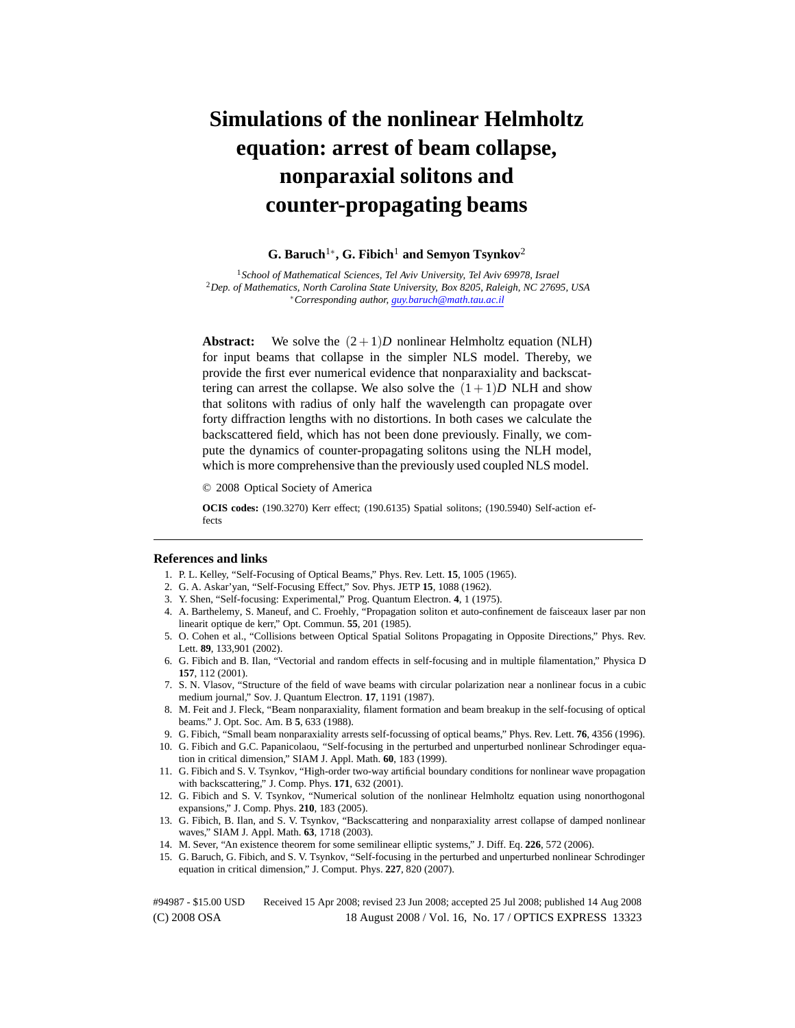## **Simulations of the nonlinear Helmholtz equation: arrest of beam collapse, nonparaxial solitons and counter-propagating beams**

## **G. Baruch**1∗**, G. Fibich**<sup>1</sup> **and Semyon Tsynkov**<sup>2</sup>

<sup>1</sup>*School of Mathematical Sciences, Tel Aviv University, Tel Aviv 69978, Israel* <sup>2</sup>*Dep. of Mathematics, North Carolina State University, Box 8205, Raleigh, NC 27695, USA* ∗*Corresponding author, guy.baruch@math.tau.ac.il*

**Abstract:** We solve the  $(2+1)D$  nonlinear Helmholtz equation (NLH) for input beams that collapse in the simpler NLS model. Thereby, we provide the first ever numerical evidence that nonparaxiality and backscattering can arrest the collapse. We also solve the  $(1+1)D$  NLH and show that solitons with radius of only half the wavelength can propagate over forty diffraction lengths with no distortions. In both cases we calculate the backscattered field, which has not been done previously. Finally, we compute the dynamics of counter-propagating solitons using the NLH model, which is more comprehensive than the previously used coupled NLS model.

© 2008 Optical Society of America

**OCIS codes:** (190.3270) Kerr effect; (190.6135) Spatial solitons; (190.5940) Self-action effects

## **References and links**

- 1. P. L. Kelley, "Self-Focusing of Optical Beams," Phys. Rev. Lett. **15**, 1005 (1965).
- 2. G. A. Askar'yan, "Self-Focusing Effect," Sov. Phys. JETP **15**, 1088 (1962).
- 3. Y. Shen, "Self-focusing: Experimental," Prog. Quantum Electron. **4**, 1 (1975).
- 4. A. Barthelemy, S. Maneuf, and C. Froehly, "Propagation soliton et auto-confinement de faisceaux laser par non linearit optique de kerr," Opt. Commun. **55**, 201 (1985).
- 5. O. Cohen et al., "Collisions between Optical Spatial Solitons Propagating in Opposite Directions," Phys. Rev. Lett. **89**, 133,901 (2002).
- 6. G. Fibich and B. Ilan, "Vectorial and random effects in self-focusing and in multiple filamentation," Physica D **157**, 112 (2001).
- 7. S. N. Vlasov, "Structure of the field of wave beams with circular polarization near a nonlinear focus in a cubic medium journal," Sov. J. Quantum Electron. **17**, 1191 (1987).
- 8. M. Feit and J. Fleck, "Beam nonparaxiality, filament formation and beam breakup in the self-focusing of optical beams." J. Opt. Soc. Am. B **5**, 633 (1988).
- 9. G. Fibich, "Small beam nonparaxiality arrests self-focussing of optical beams," Phys. Rev. Lett. **76**, 4356 (1996).
- 10. G. Fibich and G.C. Papanicolaou, "Self-focusing in the perturbed and unperturbed nonlinear Schrodinger equation in critical dimension," SIAM J. Appl. Math. **60**, 183 (1999).
- 11. G. Fibich and S. V. Tsynkov, "High-order two-way artificial boundary conditions for nonlinear wave propagation with backscattering," J. Comp. Phys. **171**, 632 (2001).
- 12. G. Fibich and S. V. Tsynkov, "Numerical solution of the nonlinear Helmholtz equation using nonorthogonal expansions," J. Comp. Phys. **210**, 183 (2005).
- 13. G. Fibich, B. Ilan, and S. V. Tsynkov, "Backscattering and nonparaxiality arrest collapse of damped nonlinear waves," SIAM J. Appl. Math. **63**, 1718 (2003).
- 14. M. Sever, "An existence theorem for some semilinear elliptic systems," J. Diff. Eq. **226**, 572 (2006).
- 15. G. Baruch, G. Fibich, and S. V. Tsynkov, "Self-focusing in the perturbed and unperturbed nonlinear Schrodinger equation in critical dimension," J. Comput. Phys. **227**, 820 (2007).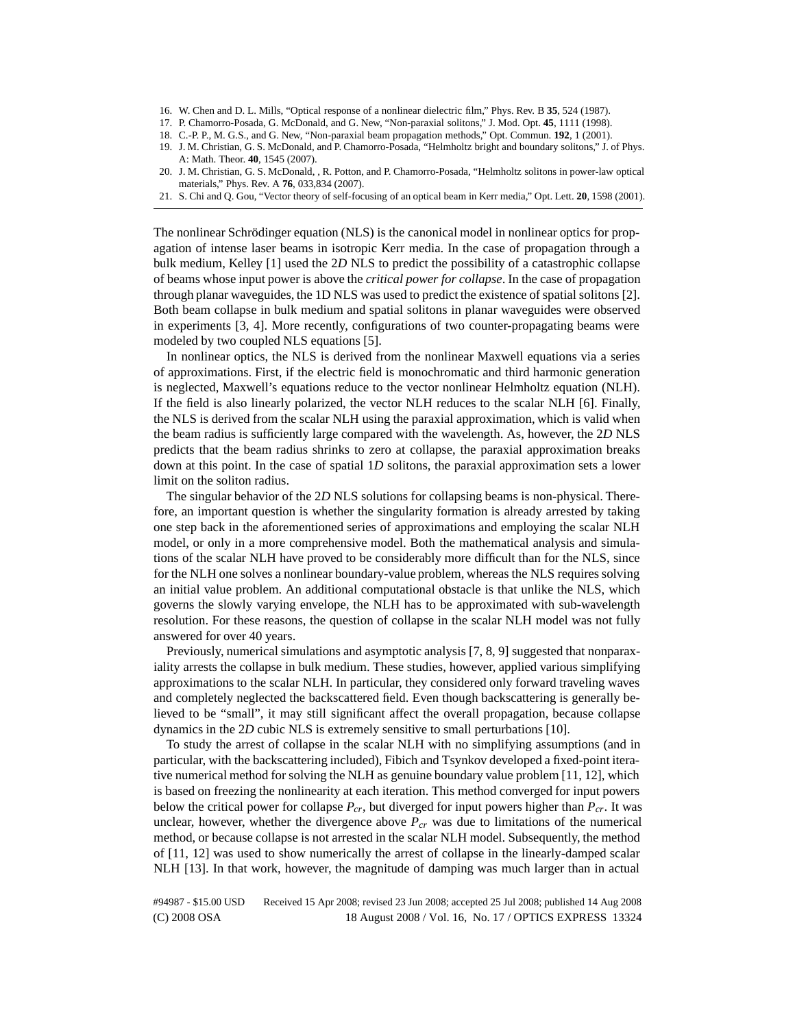- 16. W. Chen and D. L. Mills, "Optical response of a nonlinear dielectric film," Phys. Rev. B **35**, 524 (1987).
- 17. P. Chamorro-Posada, G. McDonald, and G. New, "Non-paraxial solitons," J. Mod. Opt. **45**, 1111 (1998).
- 18. C.-P. P., M. G.S., and G. New, "Non-paraxial beam propagation methods," Opt. Commun. **192**, 1 (2001).
- 19. J. M. Christian, G. S. McDonald, and P. Chamorro-Posada, "Helmholtz bright and boundary solitons," J. of Phys. A: Math. Theor. **40**, 1545 (2007).
- 20. J. M. Christian, G. S. McDonald, , R. Potton, and P. Chamorro-Posada, "Helmholtz solitons in power-law optical materials," Phys. Rev. A **76**, 033,834 (2007).
- 21. S. Chi and Q. Gou, "Vector theory of self-focusing of an optical beam in Kerr media," Opt. Lett. **20**, 1598 (2001).

The nonlinear Schrödinger equation (NLS) is the canonical model in nonlinear optics for propagation of intense laser beams in isotropic Kerr media. In the case of propagation through a bulk medium, Kelley [1] used the 2*D* NLS to predict the possibility of a catastrophic collapse of beams whose input power is above the *critical power for collapse*. In the case of propagation through planar waveguides, the 1D NLS was used to predict the existence of spatial solitons [2]. Both beam collapse in bulk medium and spatial solitons in planar waveguides were observed in experiments [3, 4]. More recently, configurations of two counter-propagating beams were modeled by two coupled NLS equations [5].

In nonlinear optics, the NLS is derived from the nonlinear Maxwell equations via a series of approximations. First, if the electric field is monochromatic and third harmonic generation is neglected, Maxwell's equations reduce to the vector nonlinear Helmholtz equation (NLH). If the field is also linearly polarized, the vector NLH reduces to the scalar NLH [6]. Finally, the NLS is derived from the scalar NLH using the paraxial approximation, which is valid when the beam radius is sufficiently large compared with the wavelength. As, however, the 2*D* NLS predicts that the beam radius shrinks to zero at collapse, the paraxial approximation breaks down at this point. In the case of spatial 1*D* solitons, the paraxial approximation sets a lower limit on the soliton radius.

The singular behavior of the 2*D* NLS solutions for collapsing beams is non-physical. Therefore, an important question is whether the singularity formation is already arrested by taking one step back in the aforementioned series of approximations and employing the scalar NLH model, or only in a more comprehensive model. Both the mathematical analysis and simulations of the scalar NLH have proved to be considerably more difficult than for the NLS, since for the NLH one solves a nonlinear boundary-value problem, whereas the NLS requires solving an initial value problem. An additional computational obstacle is that unlike the NLS, which governs the slowly varying envelope, the NLH has to be approximated with sub-wavelength resolution. For these reasons, the question of collapse in the scalar NLH model was not fully answered for over 40 years.

Previously, numerical simulations and asymptotic analysis [7, 8, 9] suggested that nonparaxiality arrests the collapse in bulk medium. These studies, however, applied various simplifying approximations to the scalar NLH. In particular, they considered only forward traveling waves and completely neglected the backscattered field. Even though backscattering is generally believed to be "small", it may still significant affect the overall propagation, because collapse dynamics in the 2*D* cubic NLS is extremely sensitive to small perturbations [10].

To study the arrest of collapse in the scalar NLH with no simplifying assumptions (and in particular, with the backscattering included), Fibich and Tsynkov developed a fixed-point iterative numerical method for solving the NLH as genuine boundary value problem [11, 12], which is based on freezing the nonlinearity at each iteration. This method converged for input powers below the critical power for collapse  $P_{cr}$ , but diverged for input powers higher than  $P_{cr}$ . It was unclear, however, whether the divergence above  $P_{cr}$  was due to limitations of the numerical method, or because collapse is not arrested in the scalar NLH model. Subsequently, the method of [11, 12] was used to show numerically the arrest of collapse in the linearly-damped scalar NLH [13]. In that work, however, the magnitude of damping was much larger than in actual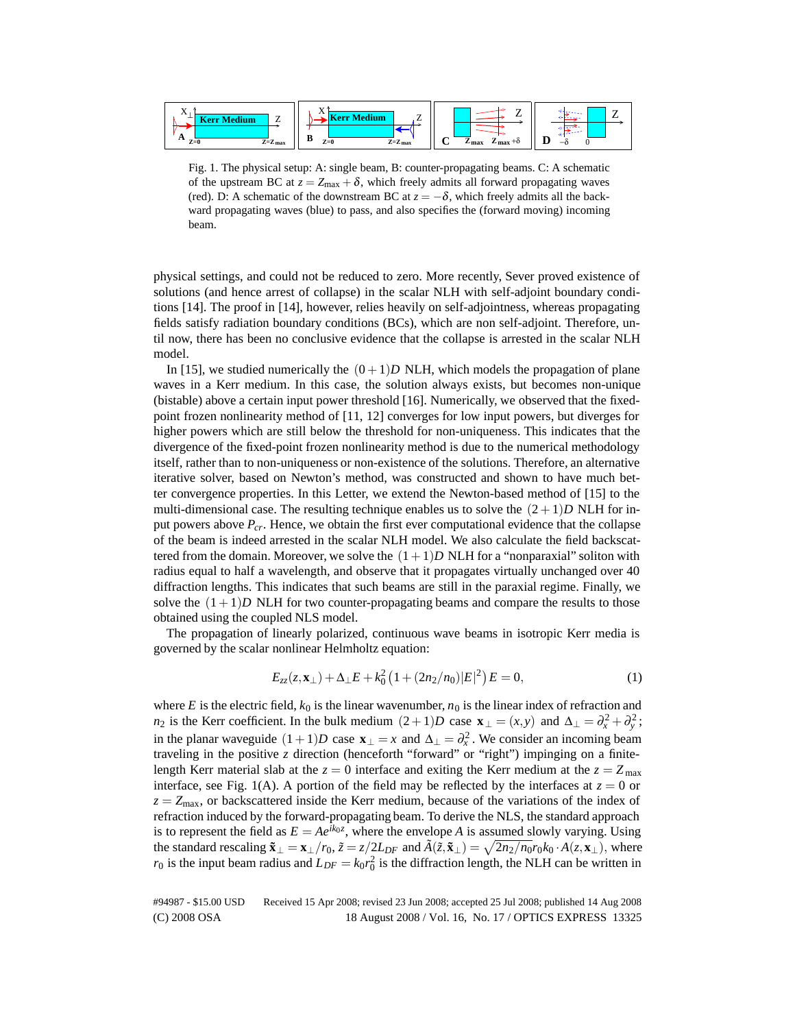

Fig. 1. The physical setup: A: single beam, B: counter-propagating beams. C: A schematic of the upstream BC at  $z = Z_{\text{max}} + \delta$ , which freely admits all forward propagating waves (red). D: A schematic of the downstream BC at  $z = -\delta$ , which freely admits all the backward propagating waves (blue) to pass, and also specifies the (forward moving) incoming beam.

physical settings, and could not be reduced to zero. More recently, Sever proved existence of solutions (and hence arrest of collapse) in the scalar NLH with self-adjoint boundary conditions [14]. The proof in [14], however, relies heavily on self-adjointness, whereas propagating fields satisfy radiation boundary conditions (BCs), which are non self-adjoint. Therefore, until now, there has been no conclusive evidence that the collapse is arrested in the scalar NLH model.

In [15], we studied numerically the  $(0+1)D$  NLH, which models the propagation of plane waves in a Kerr medium. In this case, the solution always exists, but becomes non-unique (bistable) above a certain input power threshold [16]. Numerically, we observed that the fixedpoint frozen nonlinearity method of [11, 12] converges for low input powers, but diverges for higher powers which are still below the threshold for non-uniqueness. This indicates that the divergence of the fixed-point frozen nonlinearity method is due to the numerical methodology itself, rather than to non-uniqueness or non-existence of the solutions. Therefore, an alternative iterative solver, based on Newton's method, was constructed and shown to have much better convergence properties. In this Letter, we extend the Newton-based method of [15] to the multi-dimensional case. The resulting technique enables us to solve the  $(2+1)D$  NLH for input powers above *Pcr*. Hence, we obtain the first ever computational evidence that the collapse of the beam is indeed arrested in the scalar NLH model. We also calculate the field backscattered from the domain. Moreover, we solve the  $(1+1)D$  NLH for a "nonparaxial" soliton with radius equal to half a wavelength, and observe that it propagates virtually unchanged over 40 diffraction lengths. This indicates that such beams are still in the paraxial regime. Finally, we solve the  $(1+1)D$  NLH for two counter-propagating beams and compare the results to those obtained using the coupled NLS model.

The propagation of linearly polarized, continuous wave beams in isotropic Kerr media is governed by the scalar nonlinear Helmholtz equation:

$$
E_{zz}(z, \mathbf{x}_{\perp}) + \Delta_{\perp} E + k_0^2 \left( 1 + (2n_2/n_0) |E|^2 \right) E = 0, \tag{1}
$$

where  $E$  is the electric field,  $k_0$  is the linear wavenumber,  $n_0$  is the linear index of refraction and *n*<sub>2</sub> is the Kerr coefficient. In the bulk medium  $(2+1)D$  case  $\mathbf{x}_{\perp} = (x, y)$  and  $\Delta_{\perp} = \partial_x^2 + \partial_y^2$ ; in the planar waveguide  $(1+1)D$  case  $\mathbf{x}_{\perp} = x$  and  $\Delta_{\perp} = \partial_x^2$ . We consider an incoming beam traveling in the positive *z* direction (henceforth "forward" or "right") impinging on a finitelength Kerr material slab at the  $z = 0$  interface and exiting the Kerr medium at the  $z = Z_{\text{max}}$ interface, see Fig. 1(A). A portion of the field may be reflected by the interfaces at  $z = 0$  or  $z = Z_{\text{max}}$ , or backscattered inside the Kerr medium, because of the variations of the index of refraction induced by the forward-propagating beam. To derive the NLS, the standard approach is to represent the field as  $E = Ae^{ik_0z}$ , where the envelope *A* is assumed slowly varying. Using the standard rescaling  $\tilde{\mathbf{x}}_{\perp} = \mathbf{x}_{\perp}/r_0$ ,  $\tilde{z} = z/2L_{DF}$  and  $\tilde{A}(\tilde{z}, \tilde{\mathbf{x}}_{\perp}) = \sqrt{2n_2/n_0r_0k_0 \cdot A(z, \mathbf{x}_{\perp})}$ , where  $r_0$  is the input beam radius and  $L_{DF} = k_0 r_0^2$  is the diffraction length, the NLH can be written in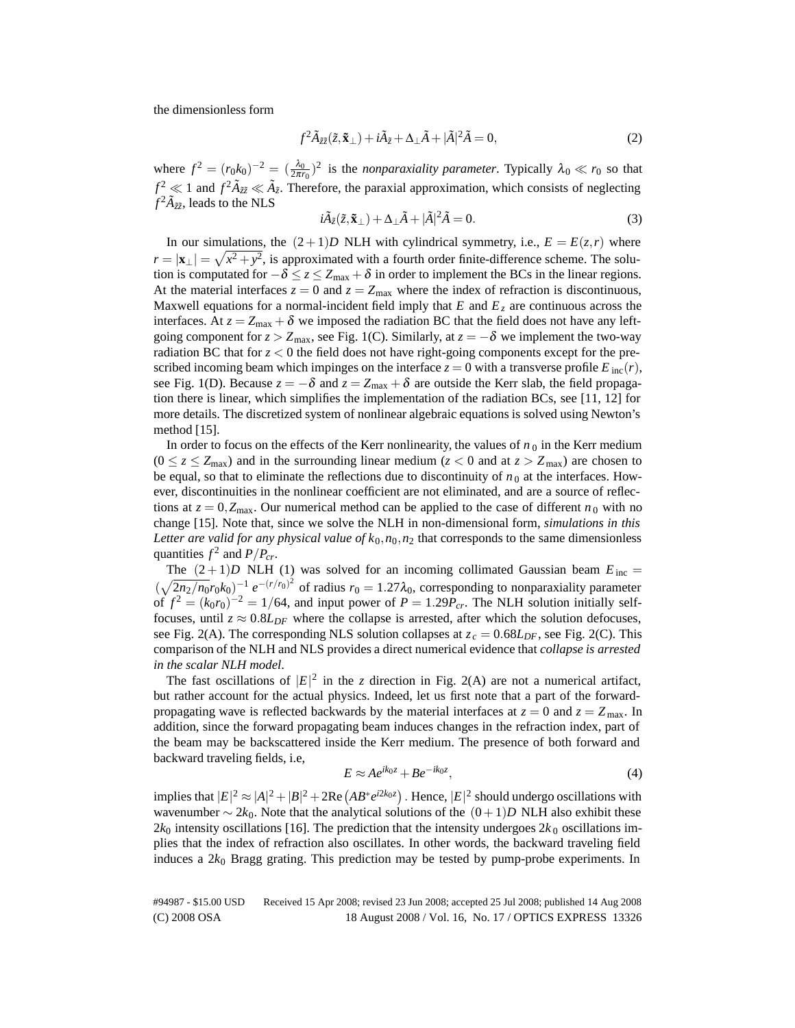the dimensionless form

$$
f^2 \tilde{A}_{\tilde{z}\tilde{z}}(\tilde{z}, \tilde{\mathbf{x}}_{\perp}) + i\tilde{A}_{\tilde{z}} + \Delta_{\perp} \tilde{A} + |\tilde{A}|^2 \tilde{A} = 0,
$$
\n(2)

where  $f^2 = (r_0 k_0)^{-2} = (\frac{\lambda_0}{2\pi r_0})^2$  is the *nonparaxiality parameter*. Typically  $\lambda_0 \ll r_0$  so that  $f^2 \ll 1$  and  $f^2 \tilde{A}_{\tilde{z}\tilde{z}} \ll \tilde{A}_{\tilde{z}}$ . Therefore, the paraxial approximation, which consists of neglecting  $f^2 \tilde{A}_{\tilde{z}\tilde{z}}$ , leads to the NLS

$$
i\tilde{A}_{\tilde{z}}(\tilde{z}, \tilde{\mathbf{x}}_{\perp}) + \Delta_{\perp}\tilde{A} + |\tilde{A}|^2 \tilde{A} = 0.
$$
 (3)

In our simulations, the  $(2+1)D$  NLH with cylindrical symmetry, i.e.,  $E = E(z, r)$  where  $r = |\mathbf{x}_\perp| = \sqrt{x^2 + y^2}$ , is approximated with a fourth order finite-difference scheme. The solution is computated for  $-\delta \le z \le Z_{\text{max}} + \delta$  in order to implement the BCs in the linear regions. At the material interfaces  $z = 0$  and  $z = Z_{\text{max}}$  where the index of refraction is discontinuous, Maxwell equations for a normal-incident field imply that  $E$  and  $E<sub>z</sub>$  are continuous across the interfaces. At  $z = Z_{\text{max}} + \delta$  we imposed the radiation BC that the field does not have any leftgoing component for  $z > Z_{\text{max}}$ , see Fig. 1(C). Similarly, at  $z = -\delta$  we implement the two-way radiation BC that for  $z < 0$  the field does not have right-going components except for the prescribed incoming beam which impinges on the interface  $z = 0$  with a transverse profile  $E_{inc}(r)$ , see Fig. 1(D). Because  $z = -\delta$  and  $z = Z_{\text{max}} + \delta$  are outside the Kerr slab, the field propagation there is linear, which simplifies the implementation of the radiation BCs, see [11, 12] for more details. The discretized system of nonlinear algebraic equations is solved using Newton's method  $[15]$ .

In order to focus on the effects of the Kerr nonlinearity, the values of  $n<sub>0</sub>$  in the Kerr medium  $(0 \le z \le Z_{\text{max}})$  and in the surrounding linear medium ( $z < 0$  and at  $z > Z_{\text{max}}$ ) are chosen to be equal, so that to eliminate the reflections due to discontinuity of  $n_0$  at the interfaces. However, discontinuities in the nonlinear coefficient are not eliminated, and are a source of reflections at  $z = 0$ ,  $Z_{\text{max}}$ . Our numerical method can be applied to the case of different  $n_0$  with no change [15]. Note that, since we solve the NLH in non-dimensional form, *simulations in this Letter are valid for any physical value of*  $k_0$ , $n_0$ , $n_2$  that corresponds to the same dimensionless quantities  $f^2$  and  $P/P_{cr}$ .

The  $(2+1)D$  NLH (1) was solved for an incoming collimated Gaussian beam  $E_{inc}$  =  $(\sqrt{2n_2/n_0}r_0k_0)^{-1}e^{-(r/r_0)^2}$  of radius  $r_0 = 1.27\lambda_0$ , corresponding to nonparaxiality parameter of  $f^2 = (k_0 r_0)^{-2} = 1/64$ , and input power of  $P = 1.29 P_{cr}$ . The NLH solution initially selffocuses, until  $z \approx 0.8L_{DF}$  where the collapse is arrested, after which the solution defocuses, see Fig. 2(A). The corresponding NLS solution collapses at  $z_c = 0.68L_{DF}$ , see Fig. 2(C). This comparison of the NLH and NLS provides a direct numerical evidence that *collapse is arrested in the scalar NLH model*.

The fast oscillations of  $|E|^2$  in the *z* direction in Fig. 2(A) are not a numerical artifact, but rather account for the actual physics. Indeed, let us first note that a part of the forwardpropagating wave is reflected backwards by the material interfaces at  $z = 0$  and  $z = Z_{\text{max}}$ . In addition, since the forward propagating beam induces changes in the refraction index, part of the beam may be backscattered inside the Kerr medium. The presence of both forward and backward traveling fields, i.e,

$$
E \approx A e^{ik_0 z} + B e^{-ik_0 z},\tag{4}
$$

implies that  $|E|^2 \approx |A|^2 + |B|^2 + 2\text{Re}(AB^*e^{i2k_0z})$ . Hence,  $|E|^2$  should undergo oscillations with wavenumber  $\sim 2k_0$ . Note that the analytical solutions of the  $(0+1)D$  NLH also exhibit these  $2k_0$  intensity oscillations [16]. The prediction that the intensity undergoes  $2k_0$  oscillations implies that the index of refraction also oscillates. In other words, the backward traveling field induces a 2*k*<sup>0</sup> Bragg grating. This prediction may be tested by pump-probe experiments. In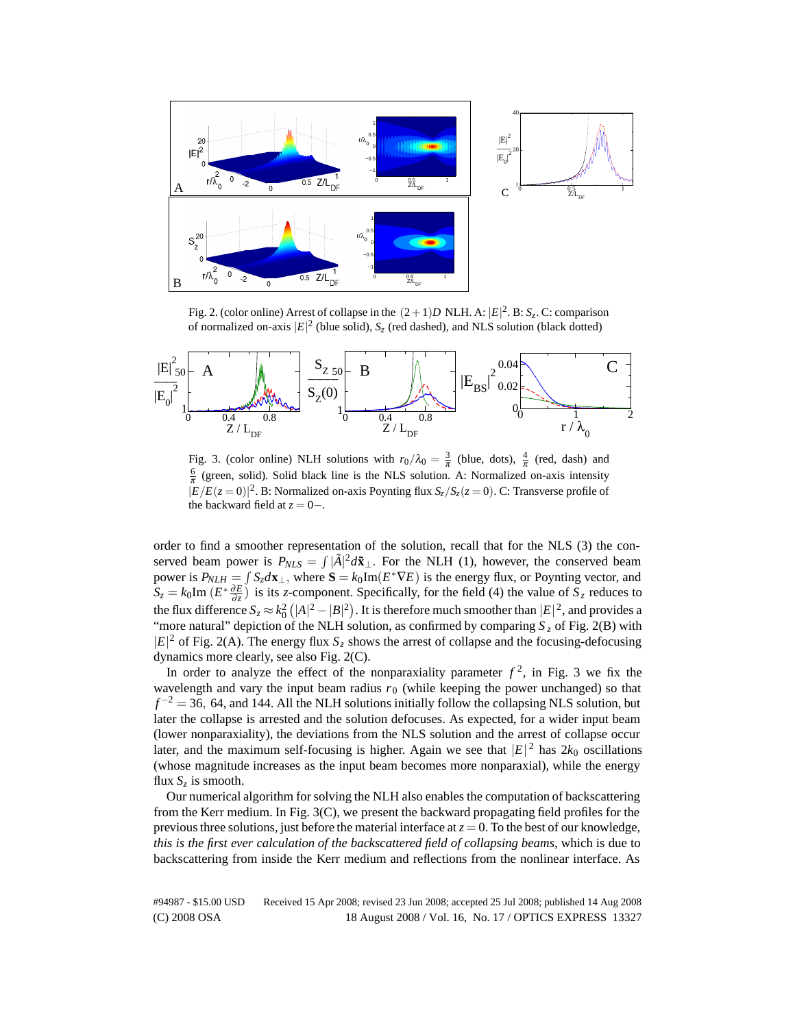

Fig. 2. (color online) Arrest of collapse in the  $(2+1)D$  NLH. A:  $|E|^2$ . B:  $S_z$ . C: comparison of normalized on-axis  $|E|^2$  (blue solid),  $S_z$  (red dashed), and NLS solution (black dotted)



Fig. 3. (color online) NLH solutions with  $r_0/\lambda_0 = \frac{3}{\pi}$  (blue, dots),  $\frac{4}{\pi}$  (red, dash) and  $\frac{6}{\pi}$  (green, solid). Solid black line is the NLS solution. A: Normalized on-axis intensity  $|E/E(z=0)|^2$ . B: Normalized on-axis Poynting flux  $S_z/S_z(z=0)$ . C: Transverse profile of the backward field at  $z = 0-$ .

order to find a smoother representation of the solution, recall that for the NLS (3) the conserved beam power is  $P_{NLS} = \int |\tilde{A}|^2 d\tilde{\mathbf{x}}_\perp$ . For the NLH (1), however, the conserved beam power is  $P_{NLH} = \int S_z d\mathbf{x}_\perp$ , where  $\mathbf{S} = k_0 \text{Im}(E^* \nabla E)$  is the energy flux, or Poynting vector, and  $S_z = k_0 \text{Im} (E^* \frac{\partial E}{\partial z})$  is its *z*-component. Specifically, for the field (4) the value of  $S_z$  reduces to the flux difference  $S_z \approx k_0^2 (|A|^2 - |B|^2)$ . It is therefore much smoother than  $|E|^2$ , and provides a "more natural" depiction of the NLH solution, as confirmed by comparing  $S_z$  of Fig. 2(B) with  $|E|^2$  of Fig. 2(A). The energy flux  $S_z$  shows the arrest of collapse and the focusing-defocusing dynamics more clearly, see also Fig. 2(C).

In order to analyze the effect of the nonparaxiality parameter  $f^2$ , in Fig. 3 we fix the wavelength and vary the input beam radius  $r<sub>0</sub>$  (while keeping the power unchanged) so that  $f^{-2} = 36$ , 64, and 144. All the NLH solutions initially follow the collapsing NLS solution, but later the collapse is arrested and the solution defocuses. As expected, for a wider input beam (lower nonparaxiality), the deviations from the NLS solution and the arrest of collapse occur later, and the maximum self-focusing is higher. Again we see that  $|E|^2$  has  $2k_0$  oscillations (whose magnitude increases as the input beam becomes more nonparaxial), while the energy flux  $S_z$  is smooth.

Our numerical algorithm for solving the NLH also enables the computation of backscattering from the Kerr medium. In Fig. 3(C), we present the backward propagating field profiles for the previous three solutions, just before the material interface at  $z = 0$ . To the best of our knowledge, *this is the first ever calculation of the backscattered field of collapsing beams,* which is due to backscattering from inside the Kerr medium and reflections from the nonlinear interface. As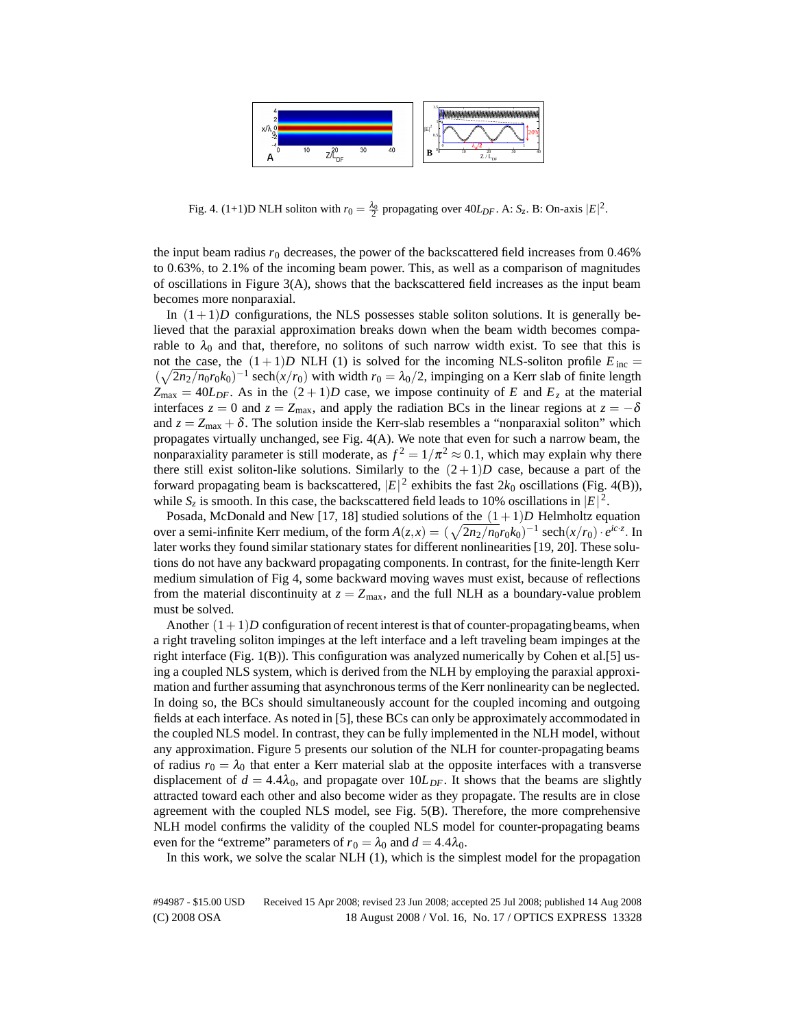

Fig. 4. (1+1)D NLH soliton with  $r_0 = \frac{\lambda_0}{2}$  propagating over  $40L_{DF}$ . A:  $S_z$ . B: On-axis  $|E|^2$ .

the input beam radius  $r_0$  decreases, the power of the backscattered field increases from  $0.46\%$ to 0*.*63%*,* to 2*.*1% of the incoming beam power. This, as well as a comparison of magnitudes of oscillations in Figure 3(A), shows that the backscattered field increases as the input beam becomes more nonparaxial.

In  $(1+1)D$  configurations, the NLS possesses stable soliton solutions. It is generally believed that the paraxial approximation breaks down when the beam width becomes comparable to  $\lambda_0$  and that, therefore, no solitons of such narrow width exist. To see that this is not the case, the  $(1+1)D$  NLH (1) is solved for the incoming NLS-soliton profile  $E_{\text{inc}} =$  $(\sqrt{2n_2/n_0r_0k_0})^{-1}$  sech $(x/r_0)$  with width  $r_0 = \lambda_0/2$ , impinging on a Kerr slab of finite length  $Z_{\text{max}} = 40L_{DF}$ . As in the  $(2 + 1)D$  case, we impose continuity of *E* and  $E_z$  at the material interfaces  $z = 0$  and  $z = Z_{\text{max}}$ , and apply the radiation BCs in the linear regions at  $z = -\delta$ and  $z = Z_{\text{max}} + \delta$ . The solution inside the Kerr-slab resembles a "nonparaxial soliton" which propagates virtually unchanged, see Fig. 4(A). We note that even for such a narrow beam, the nonparaxiality parameter is still moderate, as  $f^2 = 1/\pi^2 \approx 0.1$ , which may explain why there there still exist soliton-like solutions. Similarly to the  $(2+1)D$  case, because a part of the forward propagating beam is backscattered,  $|E|^2$  exhibits the fast  $2k_0$  oscillations (Fig. 4(B)), while  $S_z$  is smooth. In this case, the backscattered field leads to 10% oscillations in  $|E|^2$ .

Posada, McDonald and New [17, 18] studied solutions of the  $(1+1)D$  Helmholtz equation over a semi-infinite Kerr medium, of the form  $A(z, x) = (\sqrt{2n_2/n_0}r_0k_0)^{-1}$  sech $(x/r_0) \cdot e^{ic \cdot z}$ . In later works they found similar stationary states for different nonlinearities [19, 20]. These solutions do not have any backward propagating components. In contrast, for the finite-length Kerr medium simulation of Fig 4, some backward moving waves must exist, because of reflections from the material discontinuity at  $z = Z_{\text{max}}$ , and the full NLH as a boundary-value problem must be solved.

Another  $(1+1)D$  configuration of recent interest is that of counter-propagating beams, when a right traveling soliton impinges at the left interface and a left traveling beam impinges at the right interface (Fig. 1(B)). This configuration was analyzed numerically by Cohen et al.[5] using a coupled NLS system, which is derived from the NLH by employing the paraxial approximation and further assuming that asynchronous terms of the Kerr nonlinearity can be neglected. In doing so, the BCs should simultaneously account for the coupled incoming and outgoing fields at each interface. As noted in [5], these BCs can only be approximately accommodated in the coupled NLS model. In contrast, they can be fully implemented in the NLH model, without any approximation. Figure 5 presents our solution of the NLH for counter-propagating beams of radius  $r_0 = \lambda_0$  that enter a Kerr material slab at the opposite interfaces with a transverse displacement of  $d = 4.4\lambda_0$ , and propagate over  $10L_{DF}$ . It shows that the beams are slightly attracted toward each other and also become wider as they propagate. The results are in close agreement with the coupled NLS model, see Fig. 5(B). Therefore, the more comprehensive NLH model confirms the validity of the coupled NLS model for counter-propagating beams even for the "extreme" parameters of  $r_0 = \lambda_0$  and  $d = 4.4\lambda_0$ .

In this work, we solve the scalar NLH (1), which is the simplest model for the propagation